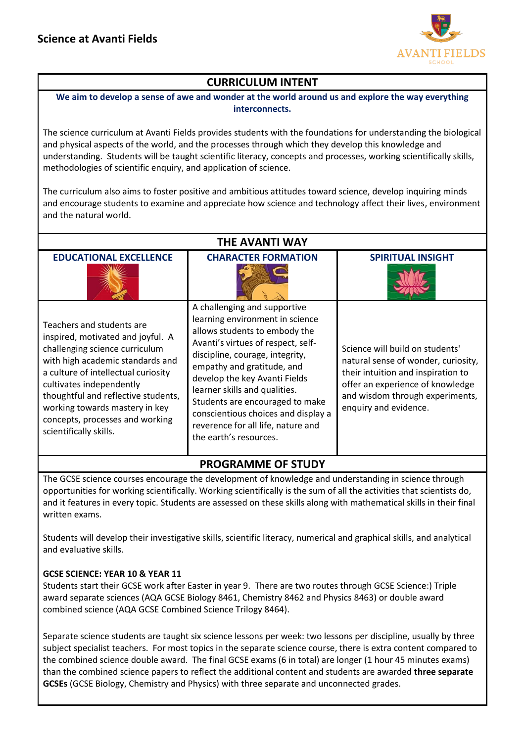

# **CURRICULUM INTENT**

**We aim to develop a sense of awe and wonder at the world around us and explore the way everything interconnects.**

The science curriculum at Avanti Fields provides students with the foundations for understanding the biological and physical aspects of the world, and the processes through which they develop this knowledge and understanding. Students will be taught scientific literacy, concepts and processes, working scientifically skills, methodologies of scientific enquiry, and application of science.

The curriculum also aims to foster positive and ambitious attitudes toward science, develop inquiring minds and encourage students to examine and appreciate how science and technology affect their lives, environment and the natural world.

| THE AVANTI WAY                                                                                                                                                                                                                                                                                                                                |                                                                                                                                                                                                                                                                                                                                                                                                                     |                                                                                                                                                                                                              |  |  |  |  |
|-----------------------------------------------------------------------------------------------------------------------------------------------------------------------------------------------------------------------------------------------------------------------------------------------------------------------------------------------|---------------------------------------------------------------------------------------------------------------------------------------------------------------------------------------------------------------------------------------------------------------------------------------------------------------------------------------------------------------------------------------------------------------------|--------------------------------------------------------------------------------------------------------------------------------------------------------------------------------------------------------------|--|--|--|--|
| <b>EDUCATIONAL EXCELLENCE</b>                                                                                                                                                                                                                                                                                                                 | <b>CHARACTER FORMATION</b>                                                                                                                                                                                                                                                                                                                                                                                          | <b>SPIRITUAL INSIGHT</b>                                                                                                                                                                                     |  |  |  |  |
| Teachers and students are<br>inspired, motivated and joyful. A<br>challenging science curriculum<br>with high academic standards and<br>a culture of intellectual curiosity<br>cultivates independently<br>thoughtful and reflective students,<br>working towards mastery in key<br>concepts, processes and working<br>scientifically skills. | A challenging and supportive<br>learning environment in science<br>allows students to embody the<br>Avanti's virtues of respect, self-<br>discipline, courage, integrity,<br>empathy and gratitude, and<br>develop the key Avanti Fields<br>learner skills and qualities.<br>Students are encouraged to make<br>conscientious choices and display a<br>reverence for all life, nature and<br>the earth's resources. | Science will build on students'<br>natural sense of wonder, curiosity,<br>their intuition and inspiration to<br>offer an experience of knowledge<br>and wisdom through experiments,<br>enquiry and evidence. |  |  |  |  |

## **PROGRAMME OF STUDY**

The GCSE science courses encourage the development of knowledge and understanding in science through opportunities for working scientifically. Working scientifically is the sum of all the activities that scientists do, and it features in every topic. Students are assessed on these skills along with mathematical skills in their final written exams.

Students will develop their investigative skills, scientific literacy, numerical and graphical skills, and analytical and evaluative skills.

#### **GCSE SCIENCE: YEAR 10 & YEAR 11**

Students start their GCSE work after Easter in year 9. There are two routes through GCSE Science:) Triple award separate sciences (AQA GCSE Biology 8461, Chemistry 8462 and Physics 8463) or double award combined science (AQA GCSE Combined Science Trilogy 8464).

Separate science students are taught six science lessons per week: two lessons per discipline, usually by three subject specialist teachers. For most topics in the separate science course, there is extra content compared to the combined science double award. The final GCSE exams (6 in total) are longer (1 hour 45 minutes exams) than the combined science papers to reflect the additional content and students are awarded **three separate GCSEs** (GCSE Biology, Chemistry and Physics) with three separate and unconnected grades.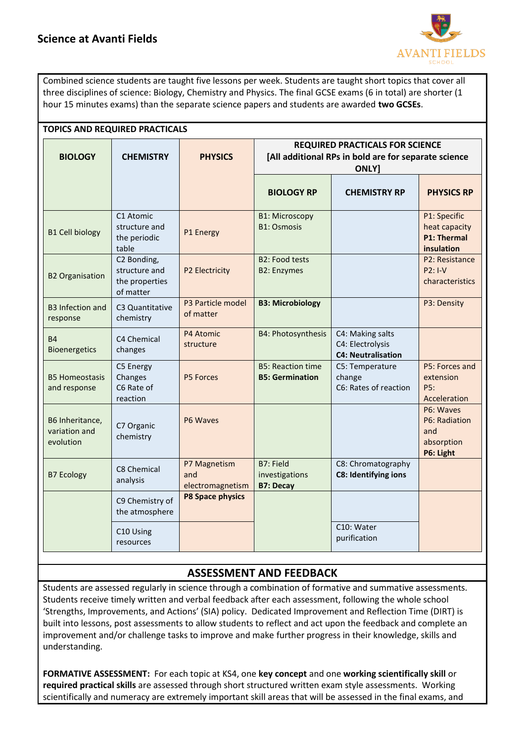

Combined science students are taught five lessons per week. Students are taught short topics that cover all three disciplines of science: Biology, Chemistry and Physics. The final GCSE exams (6 in total) are shorter (1 hour 15 minutes exams) than the separate science papers and students are awarded **two GCSEs**.

| <b>TOPICS AND REQUIRED PRACTICALS</b>         |                                                             |                                         |                                                                                                         |                                                                   |                                                                   |  |  |
|-----------------------------------------------|-------------------------------------------------------------|-----------------------------------------|---------------------------------------------------------------------------------------------------------|-------------------------------------------------------------------|-------------------------------------------------------------------|--|--|
| <b>BIOLOGY</b>                                | <b>CHEMISTRY</b>                                            | <b>PHYSICS</b>                          | <b>REQUIRED PRACTICALS FOR SCIENCE</b><br>[All additional RPs in bold are for separate science<br>ONLY] |                                                                   |                                                                   |  |  |
|                                               |                                                             |                                         | <b>BIOLOGY RP</b>                                                                                       | <b>CHEMISTRY RP</b>                                               | <b>PHYSICS RP</b>                                                 |  |  |
| <b>B1 Cell biology</b>                        | C1 Atomic<br>structure and<br>the periodic<br>table         | P1 Energy                               | <b>B1: Microscopy</b><br><b>B1: Osmosis</b>                                                             |                                                                   | P1: Specific<br>heat capacity<br><b>P1: Thermal</b><br>insulation |  |  |
| <b>B2 Organisation</b>                        | C2 Bonding,<br>structure and<br>the properties<br>of matter | P2 Electricity                          | <b>B2: Food tests</b><br><b>B2: Enzymes</b>                                                             |                                                                   | P2: Resistance<br>$P2: I-V$<br>characteristics                    |  |  |
| <b>B3 Infection and</b><br>response           | C3 Quantitative<br>chemistry                                | P3 Particle model<br>of matter          | <b>B3: Microbiology</b>                                                                                 |                                                                   | P3: Density                                                       |  |  |
| <b>B4</b><br>Bioenergetics                    | C4 Chemical<br>changes                                      | P4 Atomic<br>structure                  | B4: Photosynthesis                                                                                      | C4: Making salts<br>C4: Electrolysis<br><b>C4: Neutralisation</b> |                                                                   |  |  |
| <b>B5 Homeostasis</b><br>and response         | C5 Energy<br>Changes<br>C6 Rate of<br>reaction              | <b>P5 Forces</b>                        | <b>B5: Reaction time</b><br><b>B5: Germination</b>                                                      | C5: Temperature<br>change<br>C6: Rates of reaction                | P5: Forces and<br>extension<br>P5:<br>Acceleration                |  |  |
| B6 Inheritance,<br>variation and<br>evolution | C7 Organic<br>chemistry                                     | P6 Waves                                |                                                                                                         |                                                                   | P6: Waves<br>P6: Radiation<br>and<br>absorption<br>P6: Light      |  |  |
| <b>B7 Ecology</b>                             | C8 Chemical<br>analysis                                     | P7 Magnetism<br>and<br>electromagnetism | B7: Field<br>investigations<br><b>B7: Decay</b>                                                         | C8: Chromatography<br>C8: Identifying ions                        |                                                                   |  |  |
|                                               | C9 Chemistry of<br>the atmosphere                           | P8 Space physics                        |                                                                                                         |                                                                   |                                                                   |  |  |
|                                               | C10 Using<br>resources                                      |                                         |                                                                                                         | C10: Water<br>purification                                        |                                                                   |  |  |

# **ASSESSMENT AND FEEDBACK**

Students are assessed regularly in science through a combination of formative and summative assessments. Students receive timely written and verbal feedback after each assessment, following the whole school 'Strengths, Improvements, and Actions' (SIA) policy. Dedicated Improvement and Reflection Time (DIRT) is built into lessons, post assessments to allow students to reflect and act upon the feedback and complete an improvement and/or challenge tasks to improve and make further progress in their knowledge, skills and understanding.

**FORMATIVE ASSESSMENT:** For each topic at KS4, one **key concept** and one **working scientifically skill** or **required practical skills** are assessed through short structured written exam style assessments. Working scientifically and numeracy are extremely important skill areas that will be assessed in the final exams, and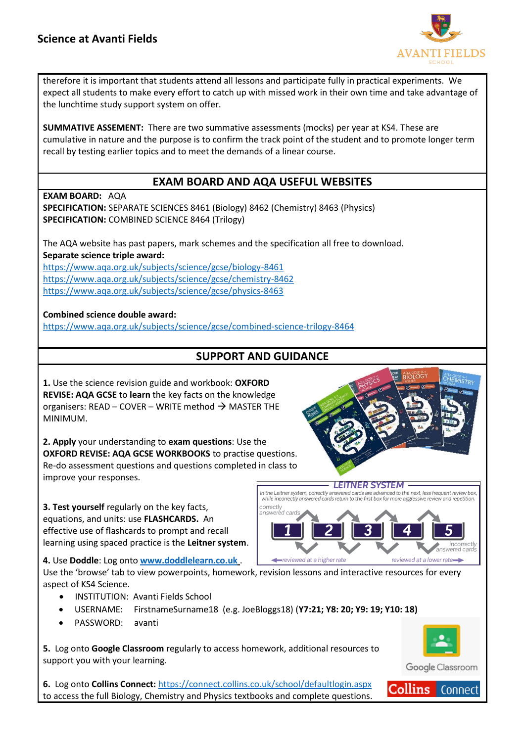

therefore it is important that students attend all lessons and participate fully in practical experiments. We expect all students to make every effort to catch up with missed work in their own time and take advantage of the lunchtime study support system on offer.

**SUMMATIVE ASSEMENT:** There are two summative assessments (mocks) per year at KS4. These are cumulative in nature and the purpose is to confirm the track point of the student and to promote longer term recall by testing earlier topics and to meet the demands of a linear course.

## **EXAM BOARD AND AQA USEFUL WEBSITES**

**EXAM BOARD:** AQA

**SPECIFICATION:** SEPARATE SCIENCES 8461 (Biology) 8462 (Chemistry) 8463 (Physics) **SPECIFICATION:** COMBINED SCIENCE 8464 (Trilogy)

The AQA website has past papers, mark schemes and the specification all free to download. **Separate science triple award:**

<https://www.aqa.org.uk/subjects/science/gcse/biology-8461> <https://www.aqa.org.uk/subjects/science/gcse/chemistry-8462> <https://www.aqa.org.uk/subjects/science/gcse/physics-8463>

### **Combined science double award:**

<https://www.aqa.org.uk/subjects/science/gcse/combined-science-trilogy-8464>

# **SUPPORT AND GUIDANCE**

**1.** Use the science revision guide and workbook: **OXFORD REVISE: AQA GCSE** to **learn** the key facts on the knowledge organisers: READ – COVER – WRITE method  $\rightarrow$  MASTER THE MINIMUM.

**2. Apply** your understanding to **exam questions**: Use the **OXFORD REVISE: AQA GCSE WORKBOOKS** to practise questions. Re-do assessment questions and questions completed in class to improve your responses.

**3. Test yourself** regularly on the key facts, equations, and units: use **FLASHCARDS.** An effective use of flashcards to prompt and recall learning using spaced practice is the **Leitner system**.

**4.** Use **Doddle**: Log onto **[www.doddlelearn.co.uk](http://www.doddlelearn.co.uk/)** .

Use the 'browse' tab to view powerpoints, homework, revision lessons and interactive resources for every aspect of KS4 Science.

- INSTITUTION: Avanti Fields School
- USERNAME: FirstnameSurname18 (e.g. JoeBloggs18) (**Y7:21; Y8: 20; Y9: 19; Y10: 18)**
- PASSWORD: avanti

**5.** Log onto **Google Classroom** regularly to access homework, additional resources to support you with your learning.

**6.** Log onto **Collins Connect:** <https://connect.collins.co.uk/school/defaultlogin.aspx> to access the full Biology, Chemistry and Physics textbooks and complete questions.

#### **LEITNER SYSTEM**